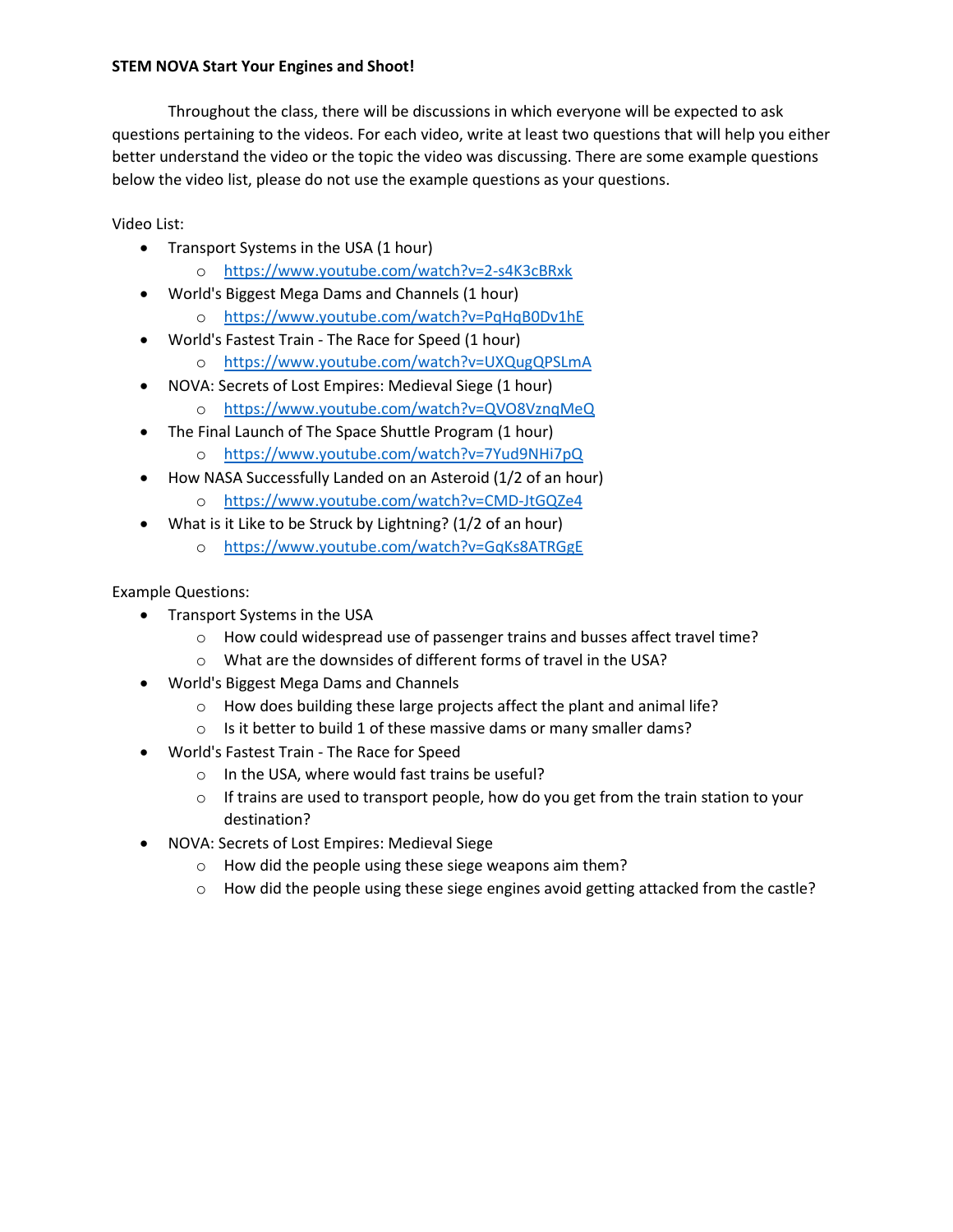## STEM NOVA Start Your Engines and Shoot!

Throughout the class, there will be discussions in which everyone will be expected to ask questions pertaining to the videos. For each video, write at least two questions that will help you either better understand the video or the topic the video was discussing. There are some example questions below the video list, please do not use the example questions as your questions.

Video List:

- Transport Systems in the USA (1 hour)
	- o https://www.youtube.com/watch?v=2-s4K3cBRxk
- World's Biggest Mega Dams and Channels (1 hour)
	- o https://www.youtube.com/watch?v=PqHqB0Dv1hE
- World's Fastest Train The Race for Speed (1 hour)
	- o https://www.youtube.com/watch?v=UXQugQPSLmA
- NOVA: Secrets of Lost Empires: Medieval Siege (1 hour)
	- o https://www.youtube.com/watch?v=QVO8VznqMeQ
- The Final Launch of The Space Shuttle Program (1 hour)
	- o https://www.youtube.com/watch?v=7Yud9NHi7pQ
- How NASA Successfully Landed on an Asteroid (1/2 of an hour)
	- o https://www.youtube.com/watch?v=CMD-JtGQZe4
- What is it Like to be Struck by Lightning? (1/2 of an hour)
	- o https://www.youtube.com/watch?v=GqKs8ATRGgE

## Example Questions:

- Transport Systems in the USA
	- o How could widespread use of passenger trains and busses affect travel time?
	- o What are the downsides of different forms of travel in the USA?
- World's Biggest Mega Dams and Channels
	- o How does building these large projects affect the plant and animal life?
	- o Is it better to build 1 of these massive dams or many smaller dams?
- World's Fastest Train The Race for Speed
	- o In the USA, where would fast trains be useful?
	- $\circ$  If trains are used to transport people, how do you get from the train station to your destination?
- NOVA: Secrets of Lost Empires: Medieval Siege
	- o How did the people using these siege weapons aim them?
	- $\circ$  How did the people using these siege engines avoid getting attacked from the castle?